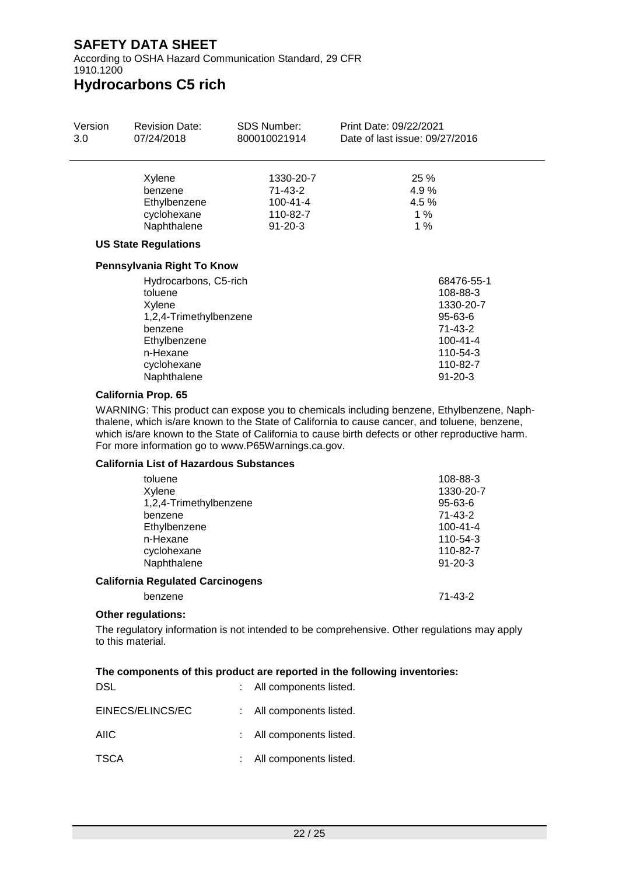According to OSHA Hazard Communication Standard, 29 CFR 1910.1200

## **Hydrocarbons C5 rich**

| Version | <b>Revision Date:</b>                                                | <b>SDS Number:</b><br>950                                           | Print Date:<br>Date of last issue: 4/01/2022            |  |
|---------|----------------------------------------------------------------------|---------------------------------------------------------------------|---------------------------------------------------------|--|
|         | Xylene<br>benzene<br>Ethylbenzene<br>cyclohexane<br>Naphthalene      | 1330-20-7<br>71-43-2<br>$100 - 41 - 4$<br>110-82-7<br>$91 - 20 - 3$ | 25 %<br>4.9%<br>4.5 %<br>1%<br>1%                       |  |
|         | <b>US State Regulations</b>                                          |                                                                     |                                                         |  |
|         | Pennsylvania Right To Know                                           |                                                                     |                                                         |  |
|         | Hydrocarbons, C5-rich<br>toluene<br>Xylene<br>1.2 A_Trimathylhanzana |                                                                     | 68476-55-1<br>108-88-3<br>1330-20-7<br>$QF$ $R$ $3$ $R$ |  |

| 1,2,4-Trimethylbenzene | 95-63-6        |
|------------------------|----------------|
| benzene                | 71-43-2        |
| Ethylbenzene           | $100 - 41 - 4$ |
| n-Hexane               | $110 - 54 - 3$ |
| cyclohexane            | 110-82-7       |
| Naphthalene            | $91 - 20 - 3$  |

### **California Prop. 65**

WARNING: This product can expose you to chemicals including benzene, Ethylbenzene, Naphthalene, which is/are known to the State of California to cause cancer, and toluene, benzene, which is/are known to the State of California to cause birth defects or other reproductive harm. For more information go to www.P65Warnings.ca.gov.

### **California List of Hazardous Substances**

| toluene                                 | 108-88-3       |
|-----------------------------------------|----------------|
| Xylene                                  | 1330-20-7      |
| 1,2,4-Trimethylbenzene                  | $95 - 63 - 6$  |
| benzene                                 | $71 - 43 - 2$  |
| Ethylbenzene                            | $100 - 41 - 4$ |
| n-Hexane                                | 110-54-3       |
| cyclohexane                             | 110-82-7       |
| Naphthalene                             | $91 - 20 - 3$  |
| <b>California Regulated Carcinogens</b> |                |
| benzene                                 | 71-43-2        |

### **Other regulations:**

The regulatory information is not intended to be comprehensive. Other regulations may apply to this material.

### **The components of this product are reported in the following inventories:**

| DSL              | : All components listed. |
|------------------|--------------------------|
| EINECS/ELINCS/EC | : All components listed. |
| <b>AIIC</b>      | : All components listed. |
| <b>TSCA</b>      | : All components listed. |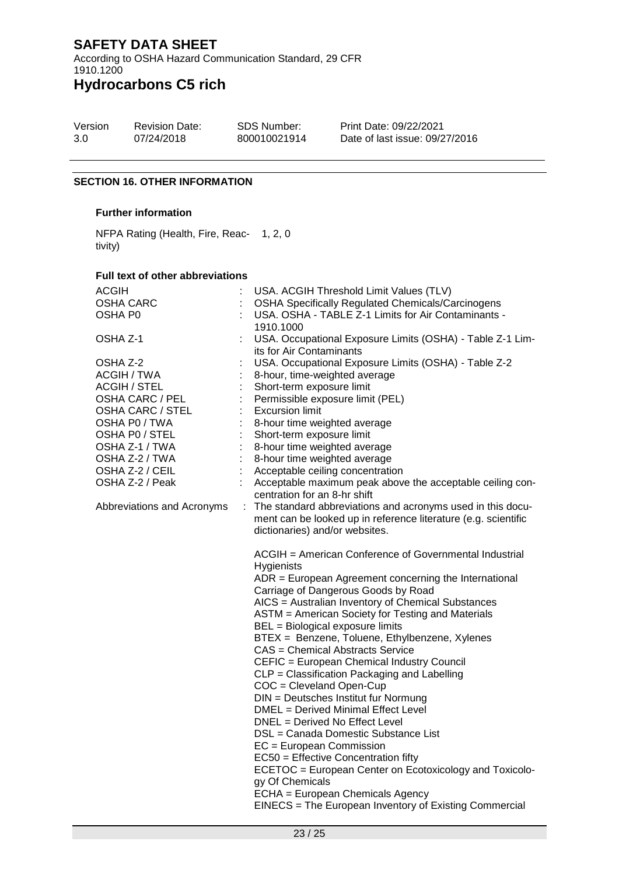According to OSHA Hazard Communication Standard, 29 CFR 1910.1200

## **Hydrocarbons C5 rich**

| Version | <b>Revision Date:</b> | <b>SDS Number:</b> | <b>Print Date</b> |
|---------|-----------------------|--------------------|-------------------|
| 1.0     | 4/01/2022             | VRAM00016          | Date of la        |

e: 4/01/2022 ast issue: 4/01/2022

### **SECTION 16. OTHER INFORMATION**

### **Further information**

NFPA Rating (Health, Fire, Reac-1, 2, 0 tivity)

#### **Full text of other abbreviations**

| ACGIH                              |    | USA. ACGIH Threshold Limit Values (TLV)                                                                                                                                                                                                                                                                                                                                                                                                                                                                                                                                                                                                                                                                                                                                                                                                                                                                                                                   |
|------------------------------------|----|-----------------------------------------------------------------------------------------------------------------------------------------------------------------------------------------------------------------------------------------------------------------------------------------------------------------------------------------------------------------------------------------------------------------------------------------------------------------------------------------------------------------------------------------------------------------------------------------------------------------------------------------------------------------------------------------------------------------------------------------------------------------------------------------------------------------------------------------------------------------------------------------------------------------------------------------------------------|
| <b>OSHA CARC</b>                   |    | <b>OSHA Specifically Regulated Chemicals/Carcinogens</b>                                                                                                                                                                                                                                                                                                                                                                                                                                                                                                                                                                                                                                                                                                                                                                                                                                                                                                  |
| OSHA P0                            |    | USA. OSHA - TABLE Z-1 Limits for Air Contaminants -<br>1910.1000                                                                                                                                                                                                                                                                                                                                                                                                                                                                                                                                                                                                                                                                                                                                                                                                                                                                                          |
| OSHA Z-1                           |    | USA. Occupational Exposure Limits (OSHA) - Table Z-1 Lim-                                                                                                                                                                                                                                                                                                                                                                                                                                                                                                                                                                                                                                                                                                                                                                                                                                                                                                 |
| OSHA Z-2                           |    | its for Air Contaminants<br>USA. Occupational Exposure Limits (OSHA) - Table Z-2                                                                                                                                                                                                                                                                                                                                                                                                                                                                                                                                                                                                                                                                                                                                                                                                                                                                          |
| <b>ACGIH / TWA</b>                 |    | 8-hour, time-weighted average                                                                                                                                                                                                                                                                                                                                                                                                                                                                                                                                                                                                                                                                                                                                                                                                                                                                                                                             |
| <b>ACGIH / STEL</b>                |    | Short-term exposure limit                                                                                                                                                                                                                                                                                                                                                                                                                                                                                                                                                                                                                                                                                                                                                                                                                                                                                                                                 |
| OSHA CARC / PEL                    |    | Permissible exposure limit (PEL)                                                                                                                                                                                                                                                                                                                                                                                                                                                                                                                                                                                                                                                                                                                                                                                                                                                                                                                          |
| OSHA CARC / STEL                   |    | <b>Excursion limit</b>                                                                                                                                                                                                                                                                                                                                                                                                                                                                                                                                                                                                                                                                                                                                                                                                                                                                                                                                    |
| OSHA P0 / TWA                      |    |                                                                                                                                                                                                                                                                                                                                                                                                                                                                                                                                                                                                                                                                                                                                                                                                                                                                                                                                                           |
| OSHA P0 / STEL                     |    | 8-hour time weighted average<br>Short-term exposure limit                                                                                                                                                                                                                                                                                                                                                                                                                                                                                                                                                                                                                                                                                                                                                                                                                                                                                                 |
| OSHA Z-1 / TWA                     |    |                                                                                                                                                                                                                                                                                                                                                                                                                                                                                                                                                                                                                                                                                                                                                                                                                                                                                                                                                           |
| OSHA Z-2 / TWA                     |    | 8-hour time weighted average                                                                                                                                                                                                                                                                                                                                                                                                                                                                                                                                                                                                                                                                                                                                                                                                                                                                                                                              |
|                                    |    | 8-hour time weighted average                                                                                                                                                                                                                                                                                                                                                                                                                                                                                                                                                                                                                                                                                                                                                                                                                                                                                                                              |
| OSHA Z-2 / CEIL<br>OSHA Z-2 / Peak |    | Acceptable ceiling concentration                                                                                                                                                                                                                                                                                                                                                                                                                                                                                                                                                                                                                                                                                                                                                                                                                                                                                                                          |
|                                    |    | Acceptable maximum peak above the acceptable ceiling con-<br>centration for an 8-hr shift                                                                                                                                                                                                                                                                                                                                                                                                                                                                                                                                                                                                                                                                                                                                                                                                                                                                 |
|                                    |    |                                                                                                                                                                                                                                                                                                                                                                                                                                                                                                                                                                                                                                                                                                                                                                                                                                                                                                                                                           |
| Abbreviations and Acronyms         | ÷. | The standard abbreviations and acronyms used in this docu-                                                                                                                                                                                                                                                                                                                                                                                                                                                                                                                                                                                                                                                                                                                                                                                                                                                                                                |
|                                    |    | ment can be looked up in reference literature (e.g. scientific<br>dictionaries) and/or websites.                                                                                                                                                                                                                                                                                                                                                                                                                                                                                                                                                                                                                                                                                                                                                                                                                                                          |
|                                    |    | ACGIH = American Conference of Governmental Industrial<br>Hygienists<br>$ADR = European Agreement concerning the International$<br>Carriage of Dangerous Goods by Road<br>AICS = Australian Inventory of Chemical Substances<br>ASTM = American Society for Testing and Materials<br>BEL = Biological exposure limits<br>BTEX = Benzene, Toluene, Ethylbenzene, Xylenes<br><b>CAS</b> = Chemical Abstracts Service<br>CEFIC = European Chemical Industry Council<br>CLP = Classification Packaging and Labelling<br>$COC = Cleveland Open-Cup$<br>DIN = Deutsches Institut fur Normung<br>DMEL = Derived Minimal Effect Level<br>DNEL = Derived No Effect Level<br>DSL = Canada Domestic Substance List<br>$EC = European Commission$<br>EC50 = Effective Concentration fifty<br>ECETOC = European Center on Ecotoxicology and Toxicolo-<br>gy Of Chemicals<br>ECHA = European Chemicals Agency<br>EINECS = The European Inventory of Existing Commercial |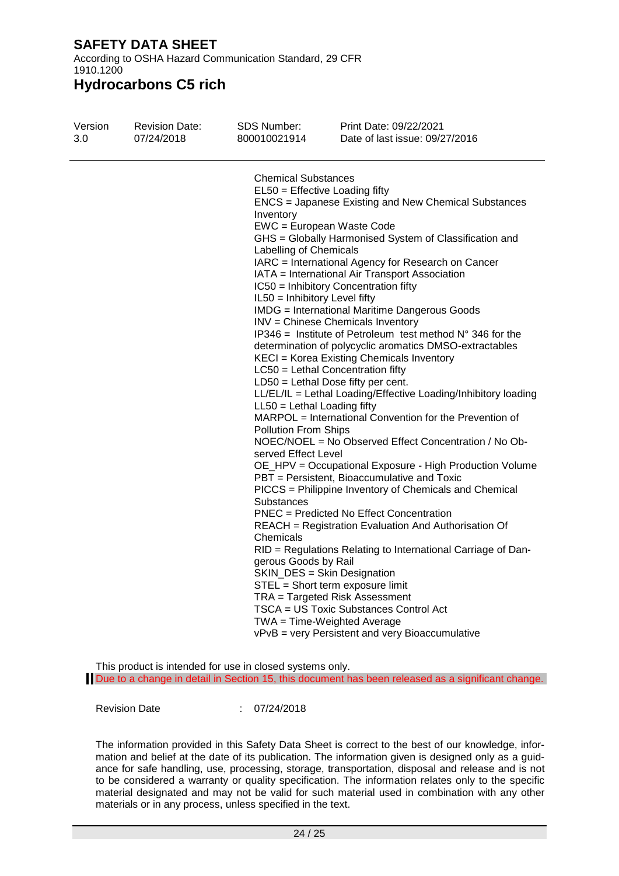According to OSHA Hazard Communication Standard, 29 CFR 1910.1200

**Hydrocarbons C5 rich**

| Version | <b>Revision Date:</b> | <b>SDS Number:</b>                                                                                                                                                                                                                                  | Print Date: 4/01/2022                                                                                                                                                                                                                                                                                                                                                                                                                                                                                                                                                                                                                                                                                                                                                                                                                                                                                                                                                                                                                                                                                                                                                                                                                                                                                                                                                                                                                                                  |
|---------|-----------------------|-----------------------------------------------------------------------------------------------------------------------------------------------------------------------------------------------------------------------------------------------------|------------------------------------------------------------------------------------------------------------------------------------------------------------------------------------------------------------------------------------------------------------------------------------------------------------------------------------------------------------------------------------------------------------------------------------------------------------------------------------------------------------------------------------------------------------------------------------------------------------------------------------------------------------------------------------------------------------------------------------------------------------------------------------------------------------------------------------------------------------------------------------------------------------------------------------------------------------------------------------------------------------------------------------------------------------------------------------------------------------------------------------------------------------------------------------------------------------------------------------------------------------------------------------------------------------------------------------------------------------------------------------------------------------------------------------------------------------------------|
| 1.0     | 4/01/2022             | VRAM00016                                                                                                                                                                                                                                           | Date of last issue: 4/01/2022                                                                                                                                                                                                                                                                                                                                                                                                                                                                                                                                                                                                                                                                                                                                                                                                                                                                                                                                                                                                                                                                                                                                                                                                                                                                                                                                                                                                                                          |
|         |                       | <b>Chemical Substances</b><br>Inventory<br><b>Labelling of Chemicals</b><br>IL50 = Inhibitory Level fifty<br>$LL50 = Lethal$ Loading fifty<br><b>Pollution From Ships</b><br>served Effect Level<br>Substances<br>Chemicals<br>gerous Goods by Rail | $EL50 = E$ ffective Loading fifty<br><b>ENCS</b> = Japanese Existing and New Chemical Substances<br>EWC = European Waste Code<br>GHS = Globally Harmonised System of Classification and<br>IARC = International Agency for Research on Cancer<br>IATA = International Air Transport Association<br>IC50 = Inhibitory Concentration fifty<br><b>IMDG</b> = International Maritime Dangerous Goods<br>INV = Chinese Chemicals Inventory<br>IP346 = Institute of Petroleum test method $N^{\circ}$ 346 for the<br>determination of polycyclic aromatics DMSO-extractables<br>KECI = Korea Existing Chemicals Inventory<br>LC50 = Lethal Concentration fifty<br>$LD50 = Lethal Does fifty per cent.$<br>LL/EL/IL = Lethal Loading/Effective Loading/Inhibitory loading<br>MARPOL = International Convention for the Prevention of<br>NOEC/NOEL = No Observed Effect Concentration / No Ob-<br>OE_HPV = Occupational Exposure - High Production Volume<br>PBT = Persistent, Bioaccumulative and Toxic<br>PICCS = Philippine Inventory of Chemicals and Chemical<br><b>PNEC</b> = Predicted No Effect Concentration<br>REACH = Registration Evaluation And Authorisation Of<br>RID = Regulations Relating to International Carriage of Dan-<br>SKIN_DES = Skin Designation<br>STEL = Short term exposure limit<br>TRA = Targeted Risk Assessment<br>TSCA = US Toxic Substances Control Act<br>TWA = Time-Weighted Average<br>vPvB = very Persistent and very Bioaccumulative |

This product is intended for use in closed systems only.

Due to a change in detail in Section 15, this document has been released as a significant change.

Revision Date : 4/01/2022

The information provided in this Safety Data Sheet is correct to the best of our knowledge, information and belief at the date of its publication. The information given is designed only as a guidance for safe handling, use, processing, storage, transportation, disposal and release and is not to be considered a warranty or quality specification. The information relates only to the specific material designated and may not be valid for such material used in combination with any other materials or in any process, unless specified in the text.